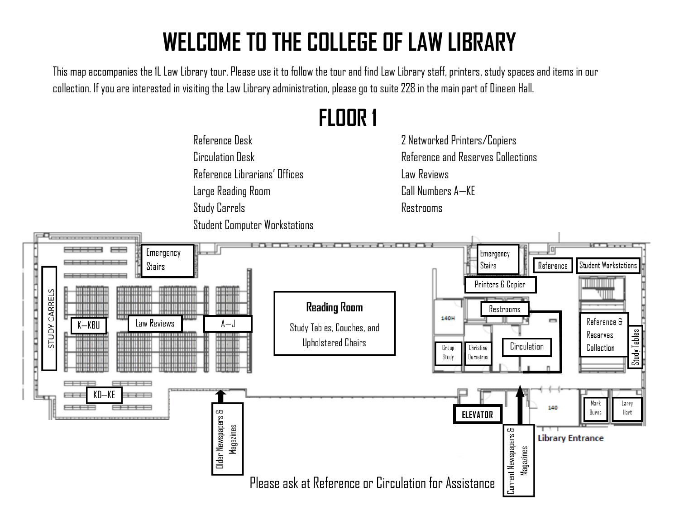## **WELCOME TO THE COLLEGE OF LAW LIBRARY**

**FLOOR 1**

This map accompanies the 1L Law Library tour. Please use it to follow the tour and find Law Library staff, printers, study spaces and items in our collection. If you are interested in visiting the Law Library administration, please go to suite 228 in the main part of Dineen Hall.



2 Networked Printers/Copiers Reference and Reserves Collections Law Reviews Call Numbers A—KE Restrooms